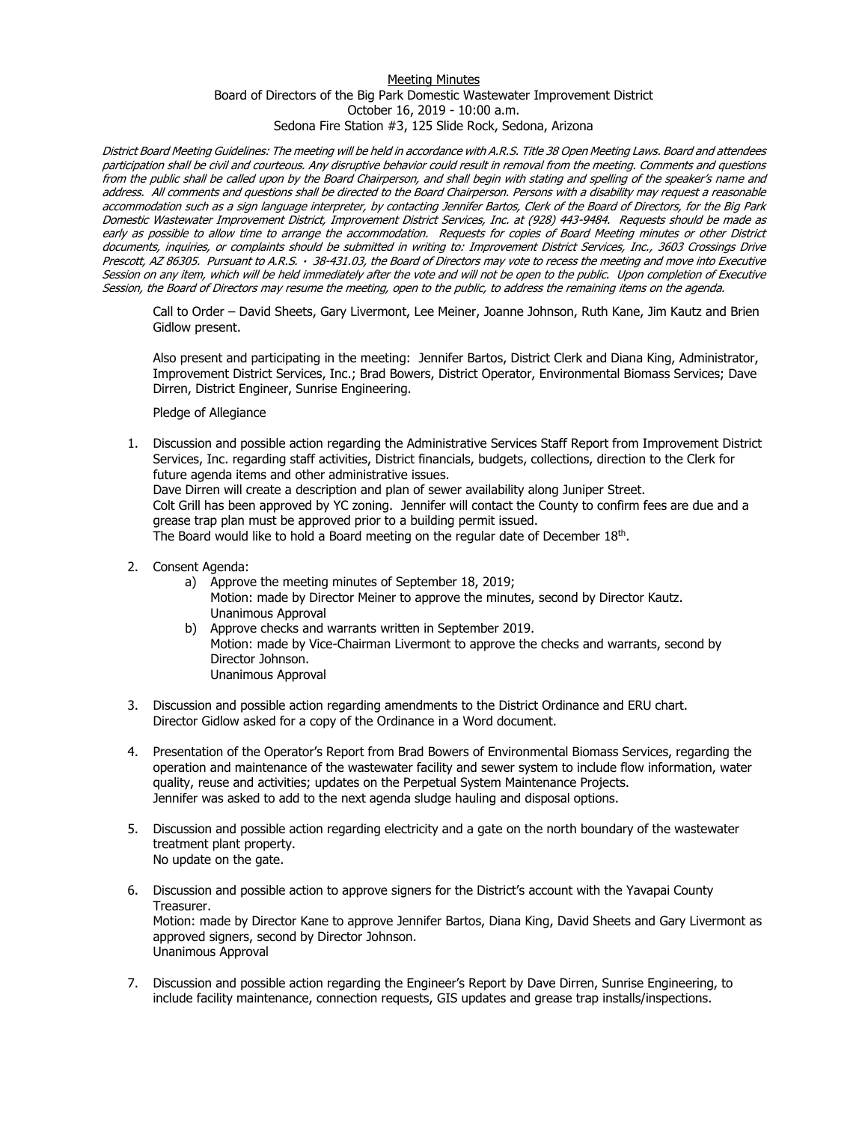## Meeting Minutes Board of Directors of the Big Park Domestic Wastewater Improvement District October 16, 2019 - 10:00 a.m. Sedona Fire Station #3, 125 Slide Rock, Sedona, Arizona

District Board Meeting Guidelines: The meeting will be held in accordance with A.R.S. Title 38 Open Meeting Laws. Board and attendees participation shall be civil and courteous. Any disruptive behavior could result in removal from the meeting. Comments and questions from the public shall be called upon by the Board Chairperson, and shall begin with stating and spelling of the speaker's name and address. All comments and questions shall be directed to the Board Chairperson. Persons with a disability may request a reasonable accommodation such as a sign language interpreter, by contacting Jennifer Bartos, Clerk of the Board of Directors, for the Big Park Domestic Wastewater Improvement District, Improvement District Services, Inc. at (928) 443-9484. Requests should be made as early as possible to allow time to arrange the accommodation. Requests for copies of Board Meeting minutes or other District documents, inquiries, or complaints should be submitted in writing to: Improvement District Services, Inc., 3603 Crossings Drive Prescott, AZ 86305. Pursuant to A.R.S. 38-431.03, the Board of Directors may vote to recess the meeting and move into Executive Session on any item, which will be held immediately after the vote and will not be open to the public. Upon completion of Executive Session, the Board of Directors may resume the meeting, open to the public, to address the remaining items on the agenda.

Call to Order – David Sheets, Gary Livermont, Lee Meiner, Joanne Johnson, Ruth Kane, Jim Kautz and Brien Gidlow present.

Also present and participating in the meeting: Jennifer Bartos, District Clerk and Diana King, Administrator, Improvement District Services, Inc.; Brad Bowers, District Operator, Environmental Biomass Services; Dave Dirren, District Engineer, Sunrise Engineering.

Pledge of Allegiance

- 1. Discussion and possible action regarding the Administrative Services Staff Report from Improvement District Services, Inc. regarding staff activities, District financials, budgets, collections, direction to the Clerk for future agenda items and other administrative issues. Dave Dirren will create a description and plan of sewer availability along Juniper Street. Colt Grill has been approved by YC zoning. Jennifer will contact the County to confirm fees are due and a grease trap plan must be approved prior to a building permit issued. The Board would like to hold a Board meeting on the regular date of December 18<sup>th</sup>.
- 2. Consent Agenda:
	- a) Approve the meeting minutes of September 18, 2019;
		- Motion: made by Director Meiner to approve the minutes, second by Director Kautz. Unanimous Approval
	- b) Approve checks and warrants written in September 2019. Motion: made by Vice-Chairman Livermont to approve the checks and warrants, second by Director Johnson. Unanimous Approval
- 3. Discussion and possible action regarding amendments to the District Ordinance and ERU chart. Director Gidlow asked for a copy of the Ordinance in a Word document.
- 4. Presentation of the Operator's Report from Brad Bowers of Environmental Biomass Services, regarding the operation and maintenance of the wastewater facility and sewer system to include flow information, water quality, reuse and activities; updates on the Perpetual System Maintenance Projects. Jennifer was asked to add to the next agenda sludge hauling and disposal options.
- 5. Discussion and possible action regarding electricity and a gate on the north boundary of the wastewater treatment plant property. No update on the gate.
- 6. Discussion and possible action to approve signers for the District's account with the Yavapai County Treasurer. Motion: made by Director Kane to approve Jennifer Bartos, Diana King, David Sheets and Gary Livermont as approved signers, second by Director Johnson. Unanimous Approval
- 7. Discussion and possible action regarding the Engineer's Report by Dave Dirren, Sunrise Engineering, to include facility maintenance, connection requests, GIS updates and grease trap installs/inspections.